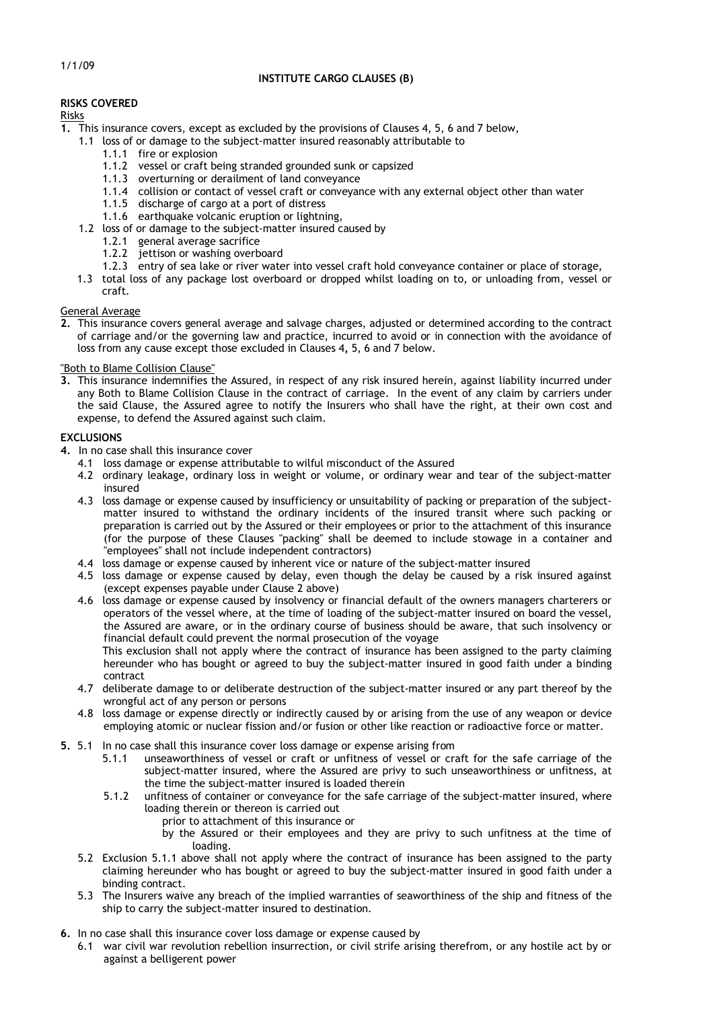# **INSTITUTE CARGO CLAUSES (B)**

1/1/09

# **RISKS COVERED**

# Risks

- **1.** This insurance covers, except as excluded by the provisions of Clauses 4, 5, 6 and 7 below,
	- 1.1 loss of or damage to the subject-matter insured reasonably attributable to
		- 1.1.1 fire or explosion
		- 1.1.2 vessel or craft being stranded grounded sunk or capsized
		- 1.1.3 overturning or derailment of land conveyance
		- 1.1.4 collision or contact of vessel craft or conveyance with any external object other than water
		- 1.1.5 discharge of cargo at a port of distress
		- 1.1.6 earthquake volcanic eruption or lightning,
	- 1.2 loss of or damage to the subject-matter insured caused by
		- 1.2.1 general average sacrifice
		- 1.2.2 jettison or washing overboard
		- 1.2.3 entry of sea lake or river water into vessel craft hold conveyance container or place of storage,
	- 1.3 total loss of any package lost overboard or dropped whilst loading on to, or unloading from, vessel or craft.

# General Average

**2.** This insurance covers general average and salvage charges, adjusted or determined according to the contract of carriage and/or the governing law and practice, incurred to avoid or in connection with the avoidance of loss from any cause except those excluded in Clauses 4**,** 5, 6 and 7 below.

# "Both to Blame Collision Clause"

**3.** This insurance indemnifies the Assured, in respect of any risk insured herein, against liability incurred under any Both to Blame Collision Clause in the contract of carriage. In the event of any claim by carriers under the said Clause, the Assured agree to notify the Insurers who shall have the right, at their own cost and expense, to defend the Assured against such claim.

# **EXCLUSIONS**

- 4. In no case shall this insurance cover
	- 4.1 loss damage or expense attributable to wilful misconduct of the Assured
	- 4.2 ordinary leakage, ordinary loss in weight or volume, or ordinary wear and tear of the subject-matter insured
	- 4.3 loss damage or expense caused by insufficiency or unsuitability of packing or preparation of the subjectmatter insured to withstand the ordinary incidents of the insured transit where such packing or preparation is carried out by the Assured or their employees or prior to the attachment of this insurance (for the purpose of these Clauses "packing" shall be deemed to include stowage in a container and "employees" shall not include independent contractors)
	- 4.4 loss damage or expense caused by inherent vice or nature of the subject-matter insured
	- 4.5 loss damage or expense caused by delay, even though the delay be caused by a risk insured against (except expenses payable under Clause 2 above)
	- 4.6 loss damage or expense caused by insolvency or financial default of the owners managers charterers or operators of the vessel where, at the time of loading of the subject-matter insured on board the vessel, the Assured are aware, or in the ordinary course of business should be aware, that such insolvency or financial default could prevent the normal prosecution of the voyage

This exclusion shall not apply where the contract of insurance has been assigned to the party claiming hereunder who has bought or agreed to buy the subject-matter insured in good faith under a binding contract

- 4.7 deliberate damage to or deliberate destruction of the subject-matter insured or any part thereof by the wrongful act of any person or persons
- 4.8 loss damage or expense directly or indirectly caused by or arising from the use of any weapon or device employing atomic or nuclear fission and/or fusion or other like reaction or radioactive force or matter.
- **5.** 5.1 In no case shall this insurance cover loss damage or expense arising from 5.1.1 unseaworthiness of vessel or craft or unfitness of vessel or craft
	- unseaworthiness of vessel or craft or unfitness of vessel or craft for the safe carriage of the subject-matter insured, where the Assured are privy to such unseaworthiness or unfitness, at the time the subject-matter insured is loaded therein
	- 5.1.2 unfitness of container or conveyance for the safe carriage of the subject-matter insured, where loading therein or thereon is carried out
		- prior to attachment of this insurance or
		- by the Assured or their employees and they are privy to such unfitness at the time of loading.
	- 5.2 Exclusion 5.1.1 above shall not apply where the contract of insurance has been assigned to the party claiming hereunder who has bought or agreed to buy the subject-matter insured in good faith under a binding contract.
	- 5.3 The Insurers waive any breach of the implied warranties of seaworthiness of the ship and fitness of the ship to carry the subject-matter insured to destination.
- **6.** In no case shall this insurance cover loss damage or expense caused by
	- 6.1 war civil war revolution rebellion insurrection, or civil strife arising therefrom, or any hostile act by or against a belligerent power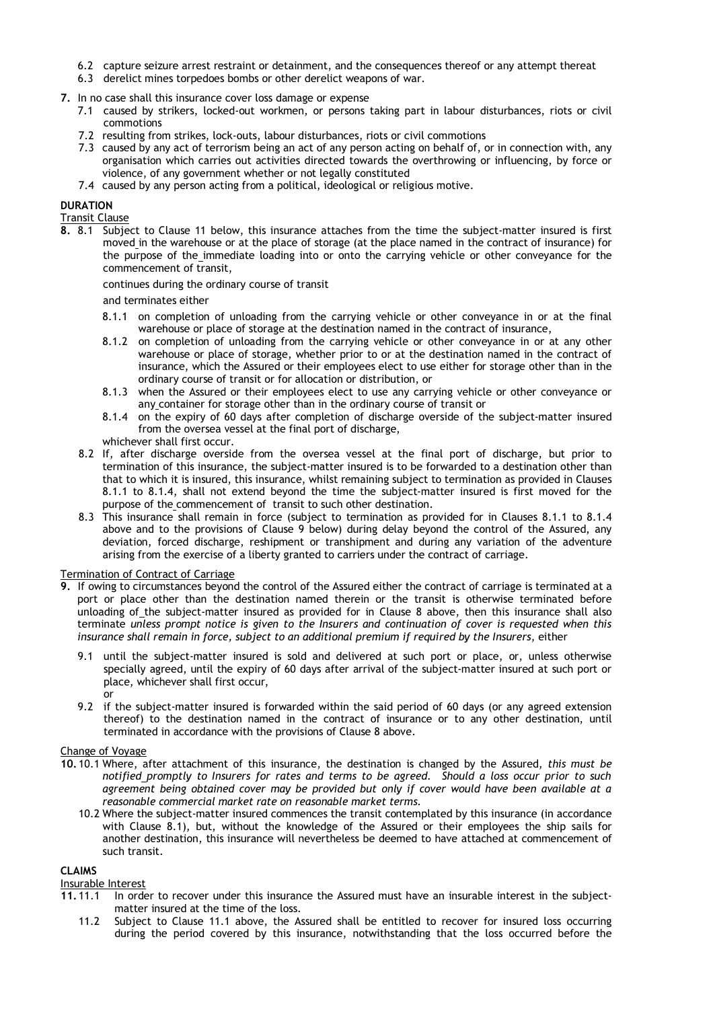- 6.2 capture seizure arrest restraint or detainment, and the consequences thereof or any attempt thereat
- 6.3 derelict mines torpedoes bombs or other derelict weapons of war.
- **7.** In no case shall this insurance cover loss damage or expense
	- 7.1 caused by strikers, locked-out workmen, or persons taking part in labour disturbances, riots or civil commotions
	- 7.2 resulting from strikes, lock-outs, labour disturbances, riots or civil commotions
	- 7.3 caused by any act of terrorism being an act of any person acting on behalf of, or in connection with, any organisation which carries out activities directed towards the overthrowing or influencing, by force or violence, of any government whether or not legally constituted
	- 7.4 caused by any person acting from a political, ideological or religious motive.

# **DURATION**

Transit Clause

**8.** 8.1 Subject to Clause 11 below, this insurance attaches from the time the subject-matter insured is first moved in the warehouse or at the place of storage (at the place named in the contract of insurance) for the purpose of the immediate loading into or onto the carrying vehicle or other conveyance for the commencement of transit,

continues during the ordinary course of transit

and terminates either

- 8.1.1 on completion of unloading from the carrying vehicle or other conveyance in or at the final warehouse or place of storage at the destination named in the contract of insurance,
- 8.1.2 on completion of unloading from the carrying vehicle or other conveyance in or at any other warehouse or place of storage, whether prior to or at the destination named in the contract of insurance, which the Assured or their employees elect to use either for storage other than in the ordinary course of transit or for allocation or distribution, or
- 8.1.3 when the Assured or their employees elect to use any carrying vehicle or other conveyance or any container for storage other than in the ordinary course of transit or
- 8.1.4 on the expiry of 60 days after completion of discharge overside of the subject-matter insured from the oversea vessel at the final port of discharge,
- whichever shall first occur.
- 8.2 If, after discharge overside from the oversea vessel at the final port of discharge, but prior to termination of this insurance, the subject-matter insured is to be forwarded to a destination other than that to which it is insured, this insurance, whilst remaining subject to termination as provided in Clauses 8.1.1 to 8.1.4, shall not extend beyond the time the subject-matter insured is first moved for the purpose of the commencement of transit to such other destination.
- 8.3 This insurance shall remain in force (subject to termination as provided for in Clauses 8.1.1 to 8.1.4 above and to the provisions of Clause 9 below) during delay beyond the control of the Assured, any deviation, forced discharge, reshipment or transhipment and during any variation of the adventure arising from the exercise of a liberty granted to carriers under the contract of carriage.

### Termination of Contract of Carriage

- **9.** If owing to circumstances beyond the control of the Assured either the contract of carriage is terminated at a port or place other than the destination named therein or the transit is otherwise terminated before unloading of the subject-matter insured as provided for in Clause 8 above, then this insurance shall also terminate *unless prompt notice is given to the Insurers and continuation of cover is requested when this insurance shall remain in force, subject to an additional premium if required by the Insurers*, either
	- 9.1 until the subject-matter insured is sold and delivered at such port or place, or, unless otherwise specially agreed, until the expiry of 60 days after arrival of the subject-matter insured at such port or place, whichever shall first occur,
	- or
	- 9.2 if the subject-matter insured is forwarded within the said period of 60 days (or any agreed extension thereof) to the destination named in the contract of insurance or to any other destination, until terminated in accordance with the provisions of Clause 8 above.

# Change of Voyage

- **10.** 10.1 Where, after attachment of this insurance, the destination is changed by the Assured, *this must be notified promptly to Insurers for rates and terms to be agreed. Should a loss occur prior to such agreement being obtained cover may be provided but only if cover would have been available at a reasonable commercial market rate on reasonable market terms.* 
	- 10.2 Where the subject-matter insured commences the transit contemplated by this insurance (in accordance with Clause 8.1), but, without the knowledge of the Assured or their employees the ship sails for another destination, this insurance will nevertheless be deemed to have attached at commencement of such transit.

### **CLAIMS**

### Insurable Interest

- **11.** 11.1 In order to recover under this insurance the Assured must have an insurable interest in the subjectmatter insured at the time of the loss.
	- 11.2 Subject to Clause 11.1 above, the Assured shall be entitled to recover for insured loss occurring during the period covered by this insurance, notwithstanding that the loss occurred before the